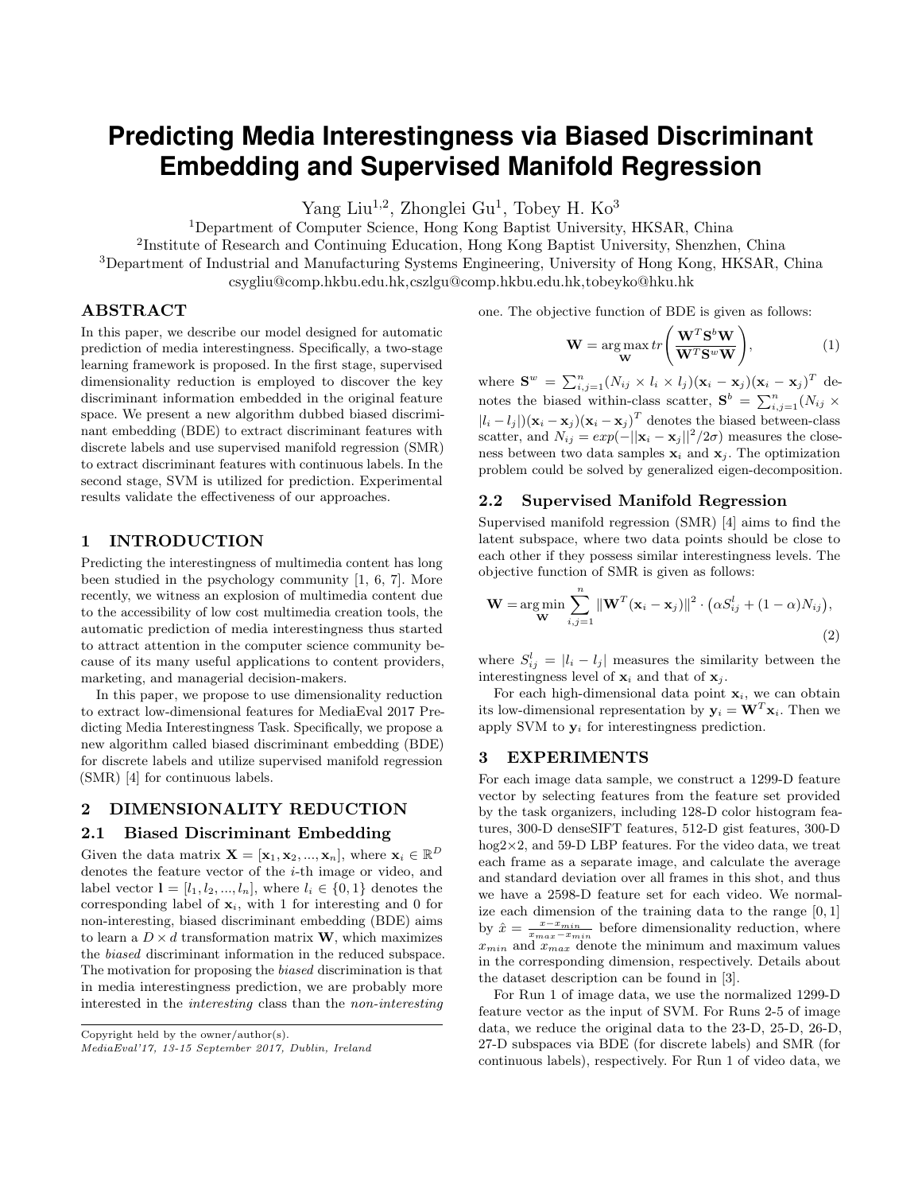# **Predicting Media Interestingness via Biased Discriminant Embedding and Supervised Manifold Regression**

Yang Liu<sup>1,2</sup>, Zhonglei Gu<sup>1</sup>, Tobey H. Ko<sup>3</sup>

<sup>1</sup>Department of Computer Science, Hong Kong Baptist University, HKSAR, China

<sup>2</sup>Institute of Research and Continuing Education, Hong Kong Baptist University, Shenzhen, China <sup>3</sup>Department of Industrial and Manufacturing Systems Engineering, University of Hong Kong, HKSAR, China csygliu@comp.hkbu.edu.hk,cszlgu@comp.hkbu.edu.hk,tobeyko@hku.hk

# ABSTRACT

In this paper, we describe our model designed for automatic prediction of media interestingness. Specifically, a two-stage learning framework is proposed. In the first stage, supervised dimensionality reduction is employed to discover the key discriminant information embedded in the original feature space. We present a new algorithm dubbed biased discriminant embedding (BDE) to extract discriminant features with discrete labels and use supervised manifold regression (SMR) to extract discriminant features with continuous labels. In the second stage, SVM is utilized for prediction. Experimental results validate the effectiveness of our approaches.

# 1 INTRODUCTION

Predicting the interestingness of multimedia content has long been studied in the psychology community [\[1,](#page-2-0) [6,](#page-2-1) [7\]](#page-2-2). More recently, we witness an explosion of multimedia content due to the accessibility of low cost multimedia creation tools, the automatic prediction of media interestingness thus started to attract attention in the computer science community because of its many useful applications to content providers, marketing, and managerial decision-makers.

In this paper, we propose to use dimensionality reduction to extract low-dimensional features for MediaEval 2017 Predicting Media Interestingness Task. Specifically, we propose a new algorithm called biased discriminant embedding (BDE) for discrete labels and utilize supervised manifold regression (SMR) [\[4\]](#page-2-3) for continuous labels.

## 2 DIMENSIONALITY REDUCTION

#### 2.1 Biased Discriminant Embedding

Given the data matrix  $\mathbf{X} = [\mathbf{x}_1, \mathbf{x}_2, ..., \mathbf{x}_n],$  where  $\mathbf{x}_i \in \mathbb{R}^D$ denotes the feature vector of the  $i$ -th image or video, and label vector  $\mathbf{l} = [l_1, l_2, ..., l_n]$ , where  $l_i \in \{0, 1\}$  denotes the corresponding label of  $x_i$ , with 1 for interesting and 0 for non-interesting, biased discriminant embedding (BDE) aims to learn a  $D \times d$  transformation matrix **W**, which maximizes the biased discriminant information in the reduced subspace. The motivation for proposing the biased discrimination is that in media interestingness prediction, we are probably more interested in the interesting class than the non-interesting

```
Copyright held by the owner/author(s).
```

```
MediaEval'17, 13-15 September 2017, Dublin, Ireland
```
one. The objective function of BDE is given as follows:

$$
\mathbf{W} = \underset{\mathbf{W}}{\arg \max} \, tr\left(\frac{\mathbf{W}^T \mathbf{S}^b \mathbf{W}}{\mathbf{W}^T \mathbf{S}^w \mathbf{W}}\right),\tag{1}
$$

where  $\mathbf{S}^w = \sum_{i,j=1}^n (N_{ij} \times l_i \times l_j)(\mathbf{x}_i - \mathbf{x}_j)(\mathbf{x}_i - \mathbf{x}_j)^T$  denotes the biased within-class scatter,  $S^b = \sum_{i,j=1}^n (N_{ij} \times$  $|l_i - l_j|$  $(\mathbf{x}_i - \mathbf{x}_j)(\mathbf{x}_i - \mathbf{x}_j)^T$  denotes the biased between-class scatter, and  $N_{ij} = exp(-||\mathbf{x}_i - \mathbf{x}_j||^2/2\sigma)$  measures the closeness between two data samples  $x_i$  and  $x_j$ . The optimization problem could be solved by generalized eigen-decomposition.

#### 2.2 Supervised Manifold Regression

Supervised manifold regression (SMR) [\[4\]](#page-2-3) aims to find the latent subspace, where two data points should be close to each other if they possess similar interestingness levels. The objective function of SMR is given as follows:

$$
\mathbf{W} = \arg\min_{\mathbf{W}} \sum_{i,j=1}^{n} \|\mathbf{W}^{T}(\mathbf{x}_{i} - \mathbf{x}_{j})\|^{2} \cdot (\alpha S_{ij}^{l} + (1 - \alpha)N_{ij}),
$$
\n(2)

where  $S_{ij}^l = |l_i - l_j|$  measures the similarity between the interestingness level of  $x_i$  and that of  $x_j$ .

For each high-dimensional data point  $x_i$ , we can obtain its low-dimensional representation by  $y_i = \mathbf{W}^T \mathbf{x}_i$ . Then we apply SVM to  $y_i$  for interestingness prediction.

# 3 EXPERIMENTS

For each image data sample, we construct a 1299-D feature vector by selecting features from the feature set provided by the task organizers, including 128-D color histogram features, 300-D denseSIFT features, 512-D gist features, 300-D  $hog2\times2$ , and 59-D LBP features. For the video data, we treat each frame as a separate image, and calculate the average and standard deviation over all frames in this shot, and thus we have a 2598-D feature set for each video. We normalize each dimension of the training data to the range [0, 1] by  $\hat{x} = \frac{x - x_{min}}{x_{max} - x_{min}}$  before dimensionality reduction, where  $x_{min}$  and  $x_{max}$  denote the minimum and maximum values in the corresponding dimension, respectively. Details about the dataset description can be found in [\[3\]](#page-2-4).

For Run 1 of image data, we use the normalized 1299-D feature vector as the input of SVM. For Runs 2-5 of image data, we reduce the original data to the 23-D, 25-D, 26-D, 27-D subspaces via BDE (for discrete labels) and SMR (for continuous labels), respectively. For Run 1 of video data, we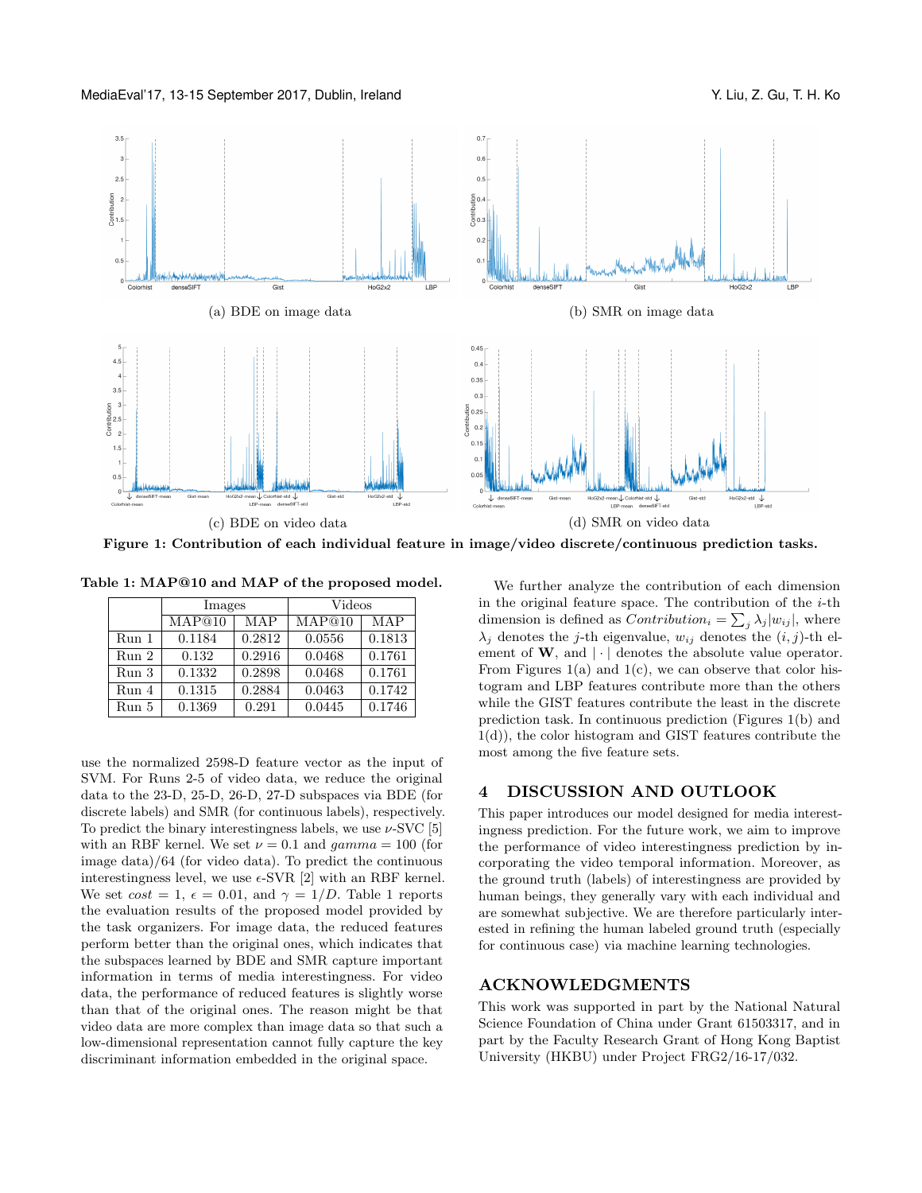MediaEval'17, 13-15 September 2017, Dublin, Ireland Y. Liu, Z. Gu, T. H. Ko

<span id="page-1-1"></span>

Figure 1: Contribution of each individual feature in image/video discrete/continuous prediction tasks.

<span id="page-1-0"></span>Table 1: MAP@10 and MAP of the proposed model.

|       | Images |        | $V$ ideos |        |
|-------|--------|--------|-----------|--------|
|       | MAP@10 | MAP    | MAP@10    | MAP    |
| Run 1 | 0.1184 | 0.2812 | 0.0556    | 0.1813 |
| Run 2 | 0.132  | 0.2916 | 0.0468    | 0.1761 |
| Run 3 | 0.1332 | 0.2898 | 0.0468    | 0.1761 |
| Run 4 | 0.1315 | 0.2884 | 0.0463    | 0.1742 |
| Run 5 | 0.1369 | 0.291  | 0.0445    | 0.1746 |

use the normalized 2598-D feature vector as the input of SVM. For Runs 2-5 of video data, we reduce the original data to the 23-D, 25-D, 26-D, 27-D subspaces via BDE (for discrete labels) and SMR (for continuous labels), respectively. To predict the binary interestingness labels, we use  $\nu$ -SVC [\[5\]](#page-2-5) with an RBF kernel. We set  $\nu = 0.1$  and  $gamma = 100$  (for image data)/64 (for video data). To predict the continuous interestingness level, we use  $\epsilon$ -SVR [\[2\]](#page-2-6) with an RBF kernel. We set  $cost = 1$  $cost = 1$ ,  $\epsilon = 0.01$ , and  $\gamma = 1/D$ . Table 1 reports the evaluation results of the proposed model provided by the task organizers. For image data, the reduced features perform better than the original ones, which indicates that the subspaces learned by BDE and SMR capture important information in terms of media interestingness. For video data, the performance of reduced features is slightly worse than that of the original ones. The reason might be that video data are more complex than image data so that such a low-dimensional representation cannot fully capture the key discriminant information embedded in the original space.

We further analyze the contribution of each dimension in the original feature space. The contribution of the  $i$ -th dimension is defined as  $Contribution_i = \sum_j \lambda_j |w_{ij}|$ , where  $\lambda_j$  denotes the j-th eigenvalue,  $w_{ij}$  denotes the  $(i, j)$ -th element of  $W$ , and  $|\cdot|$  denotes the absolute value operator. From Figures  $1(a)$  and  $1(c)$ , we can observe that color histogram and LBP features contribute more than the others while the GIST features contribute the least in the discrete prediction task. In continuous prediction (Figures [1\(](#page-1-1)b) and [1\(](#page-1-1)d)), the color histogram and GIST features contribute the most among the five feature sets.

## 4 DISCUSSION AND OUTLOOK

This paper introduces our model designed for media interestingness prediction. For the future work, we aim to improve the performance of video interestingness prediction by incorporating the video temporal information. Moreover, as the ground truth (labels) of interestingness are provided by human beings, they generally vary with each individual and are somewhat subjective. We are therefore particularly interested in refining the human labeled ground truth (especially for continuous case) via machine learning technologies.

#### ACKNOWLEDGMENTS

This work was supported in part by the National Natural Science Foundation of China under Grant 61503317, and in part by the Faculty Research Grant of Hong Kong Baptist University (HKBU) under Project FRG2/16-17/032.